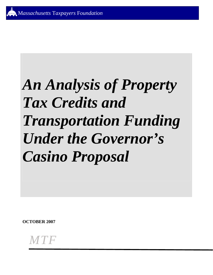# **An Analysis of Property Tax Credits and Transportation Funding** *Under the Governor's* **Casino Proposal**

**OCTOBER 2007** 

MTF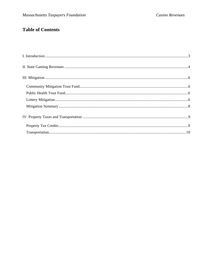## **Table of Contents**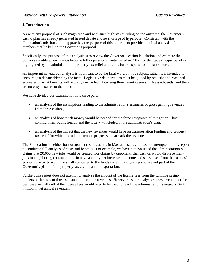## **I. Introduction**

As with any proposal of such magnitude and with such high stakes riding on the outcome, the Governor's casino plan has already generated heated debate and no shortage of hyperbole. Consistent with the Foundation's mission and long practice, the purpose of this report is to provide an initial analysis of the numbers that lie behind the Governor's proposal.

Specifically, the purpose of this analysis is to review the Governor's casino legislation and estimate the dollars available when casinos become fully operational, anticipated in 2012, for the two principal benefits highlighted by the administration: property tax relief and funds for transportation infrastructure.

An important caveat: our analysis is not meant to be the final word on this subject; rather, it is intended to encourage a debate driven by the facts. Legislative deliberations must be guided by realistic and reasoned estimates of what benefits will actually derive from licensing three resort casinos in Massachusetts, and there are no easy answers to that question.

We have divided our examination into three parts:

- an analysis of the assumptions leading to the administration's estimates of gross gaming revenues from three casinos;
- an analysis of how much money would be needed for the three categories of mitigation host communities, public health, and the lottery – included in the administration's plan;
- an analysis of the impact that the new revenues would have on transportation funding and property tax relief for which the administration proposes to earmark the revenues.

The Foundation is neither for nor against resort casinos in Massachusetts and has not attempted in this report to conduct a full analysis of costs and benefits. For example, we have not evaluated the administration's claims that 20,000 new jobs would be created, nor claims by opponents that casinos would displace many jobs in neighboring communities. In any case, any net increase in income and sales taxes from the casinos' economic activity would be small compared to the funds raised from gaming and are not part of the Governor's plan to fund property tax credits and transportation.

Further, this report does not attempt to analyze the amount of the license fees from the winning casino bidders or the uses of those substantial one-time revenues. However, as our analysis shows, even under the best case virtually all of the license fees would need to be used to reach the administration's target of \$400 million in net annual revenues.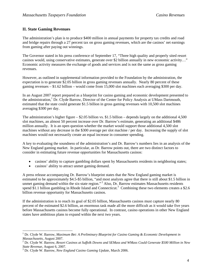## **II. State Gaming Revenues**

The administration's plan is to produce \$400 million in annual payments for property tax credits and road and bridge repairs through a 27 percent tax on gross gaming revenues, which are the casinos' net earnings from gaming after paying out winnings.

The Governor stated in his press conference of September 17, "Three high quality and properly sited resort casinos would, using conservative estimates, generate over \$2 billion annually in new economic activity…" Economic activity measures the exchange of goods and services and is not the same as gross gaming revenues.

However, as outlined in supplemental information provided to the Foundation by the administration, the expectation is to generate \$2.05 billion in gross gaming revenues annually. Nearly 80 percent of these gaming revenues – \$1.62 billion – would come from 15,000 slot machines each averaging \$300 per day.

In an August 2007 report prepared as a blueprint for casino gaming and economic development presented to the administration,<sup>1</sup> Dr. Clyde Barrow, Director of the Center for Policy Analysis at UMass Dartmouth, estimated that the state could generate \$1.5 billion in gross gaming revenues with 10,500 slot machines averaging \$300 per day.

The administration's higher figure – \$2.05 billion vs. \$1.5 billion – depends largely on the additional 4,500 slot machines, an almost 50 percent increase over Dr. Barrow's estimate, generating an additional \$486 million annually. It is an open question whether the market would support those additional 4,500 slot machines without any decrease in the \$300 average per slot machine / per day. Increasing the supply of slot machines would not necessarily create an equal increase in consumer spending.

A key to evaluating the soundness of the administration's and Dr. Barrow's numbers lies in an analysis of the New England gaming market. In particular, as Dr. Barrow points out, there are two distinct factors to consider in estimating future revenue opportunities for Massachusetts casinos:

- casinos' ability to capture gambling dollars spent by Massachusetts residents in neighboring states;
- casinos' ability to attract unmet gaming demand.

A press release accompanying Dr. Barrow's blueprint states that the New England gaming market is estimated to be approximately \$4.5-\$5 billion, "and most analysts agree that there is still about \$1.5 billion in unmet gaming demand within the six-state region."<sup>2</sup> Also, Dr. Barrow estimates Massachusetts residents spend \$1.1 billion gambling in Rhode Island and Connecticut.<sup>3</sup> Combining these two elements creates a \$2.6 billion revenue opportunity for Massachusetts casinos.

If the administration is to reach its goal of \$2.05 billion, Massachusetts casinos must capture nearly 80 percent of the estimated \$2.6 billion, an enormous task made all the more difficult as it would take five years before Massachusetts casinos become fully operational. In contrast, casino operations in other New England states have ambitious plans to expand within the next two years.

 <sup>1</sup> Dr. Clyde W. Barrow, *Maximum Bet: A Preliminary Blueprint for Casino Gaming & Economic Development in Massachusetts*, August 2007. 2

Dr. Clyde W. Barrow*, Resort Casinos at Suffolk Downs and SEMass and WMass Could Generate \$500 Million in New State Revenue*, August 6, 2007.

Dr. Clyde W. Barrow, *New England Casino Gaming Update*, March 2006.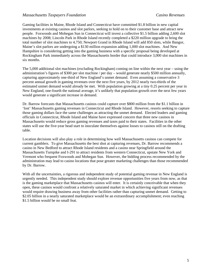Gaming facilities in Maine, Rhode Island and Connecticut have committed \$1.8 billion in new capital investments at existing casinos and slot parlors, seeking to hold on to their customer base and attract new people. Foxwoods and Mohegan Sun in Connecticut will invest a collective \$1.5 billion adding 2,600 slot machines by 2008; Lincoln Park in Rhode Island recently completed a \$220 million upgrade to bring the total number of slot machines to 4,750; Newport Grand in Rhode Island will add 850 slots, while Bangor, Maine's slot parlors are undergoing a \$130 million expansion adding 1,000 slot machines. And New Hampshire is considering getting into the gaming business with a specific proposal being developed at Rockingham Park immediately across the Massachusetts border that could introduce 3,000 slot machines in six months.

The 5,000 additional slot machines (excluding Rockingham) coming on line within the next year – using the administration's figures of \$300 per slot machine / per day – would generate nearly \$500 million annually, capturing approximately one-third of New England's unmet demand. Even assuming a conservative 3 percent annual growth in gaming revenues over the next five years, by 2012 nearly two-thirds of the estimated unmet demand would already be met. With population growing at a tiny 0.25 percent per year in New England, one-fourth the national average, it's unlikely that population growth over the next few years would generate a significant increase in demand.

Dr. Barrow forecasts that Massachusetts casinos could capture over \$800 million from the \$1.1 billion in 'lost' Massachusetts gaming revenues in Connecticut and Rhode Island. However, resorts seeking to capture those gaming dollars face the same challenges as attracting the unmet demand. Elected leaders and gaming officials in Connecticut, Rhode Island and Maine have expressed concern that three new casinos in Massachusetts would reduce gross gaming revenues and taxes paid to their states. Facilities in the other states will use the five-year head start to inoculate themselves against losses to casinos still on the drafting table.

Location decisions will also play a role in determining how well Massachusetts casinos can compete for current gamblers. To give Massachusetts the best shot at capturing revenues, Dr. Barrow recommends a casino in New Bedford to attract Rhode Island residents and a casino near Springfield around the Massachusetts Turnpike and I-291 to attract residents from western Connecticut, upstate New York and Vermont who frequent Foxwoods and Mohegan Sun. However, the bidding process recommended by the administration may lead to casino locations that pose greater marketing challenges than those recommended by Dr. Barrow.

With all the uncertainties, a rigorous and independent study of potential gaming revenue in New England is urgently needed. This independent study should explore revenue opportunities five years from now, as that is the gaming marketplace that Massachusetts casinos will enter. It is certainly conceivable that when they open, these casinos would confront a relatively saturated market in which achieving significant revenues would require drawing business away from other facilities rather than capturing unmet demand. Getting to \$2.05 billion in a nearly saturated marketplace would be an extraordinary accomplishment; even reaching \$1.5 billion would be no small feat.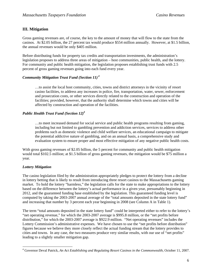## **III. Mitigation**

Gross gaming revenues are, of course, the key to the amount of money that will flow to the state from the casinos. At \$2.05 billion, the 27 percent tax would produce \$554 million annually. However, at \$1.5 billion, the annual revenues would be only \$405 million.

Before distributing funds for property tax credits and transportation investments, the administration's legislation proposes to address three areas of mitigation – host communities, public health, and the lottery. For community and public health mitigation, the legislation proposes establishing trust funds with 2.5 percent of gross gaming revenues going into each fund every year.

## *Community Mitigation Trust Fund (Section 11) 4*

…to assist the local host community, cities, towns and district attorneys in the vicinity of resort casino facilities, to address any increases in police, fire, transportation, water, sewer, enforcement and prosecution costs, or other services directly related to the construction and operation of the facilities; provided, however, that the authority shall determine which towns and cities will be affected by construction and operation of the facilities.

### *Public Health Trust Fund (Section 12)4*

…to meet increased demand for social service and public health programs resulting from gaming, including but not limited to gambling prevention and addiction services, services to address other problems such as domestic violence and child welfare services, an educational campaign to mitigate the potential addictive nature of gambling, and on an annual basis, a comprehensive study and evaluation system to ensure proper and most effective mitigation of any negative public health costs.

With gross gaming revenues of \$2.05 billion, the 5 percent for community and public health mitigation would total \$102.5 million; at \$1.5 billion of gross gaming revenues, the mitigation would be \$75 million a year.

## *Lottery Mitigation*

The casino legislation filed by the administration appropriately pledges to protect the lottery from a decline in lottery betting that is likely to result from introducing three resort casinos to the Massachusetts gaming market. To hold the lottery "harmless," the legislation calls for the state to make appropriations to the lottery based on the difference between the lottery's actual performance in a given year, presumably beginning in 2012, and the guaranteed funding base established by the legislation. This guaranteed funding level is computed by taking the 2003-2007 annual average of the "total amounts deposited in the state lottery fund" and increasing that number by 3 percent each year beginning in 2008 (see Column A in Table 1).

The term "total amounts deposited in the state lottery fund" could be interpreted either to refer to the lottery's "net operating revenue," for which the 2003-2007 average is \$995.8 million, or the "net profits before distribution," for which the 2003-2007 average is \$922.9 million. "Net operating revenues" includes the Lottery Commission's administrative expenses. We have chosen to use the "net profits before distribution" figures because we believe they more closely reflect the actual funding stream that the lottery provides to cities and towns. In any case, the two measures produce very similar results, with our use of "net profits" leading to a slightly smaller mitigation gap.

 4 Governor Deval Patrick, *An Act Establishing and Regulating Resort Casinos in the Commonwealth*, October 11, 2007.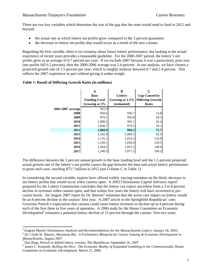There are two key variables which determine the size of the gap that the state would need to fund in 2012 and beyond:

- the actual rate at which lottery net profits grow compared to the 3 percent guarantee;
- the decrease in lottery net profits that would occur as a result of the new casinos.

Regarding the first variable, there is no certainty about future lottery performance, but looking at the actual experience of recent years provides a reasonable guideline. For the 2000-2007 period, the lottery's net profits grew at an average of 0.7 percent per year. If we exclude 2007 because it was a particularly poor year (net profits fell 6.2 percent), then the 2000-2006 average was 2.4 percent. In our analysis, we have chosen a projected growth rate of 1.5 percent per year, which is roughly midway between 0.7 and 2.4 percent. This reflects the 2007 experience in part without giving it undue weight.

#### **Table 1: Result of Differing Growth Rates (in millions)**

|                   | $\underline{\mathbf{A}}$<br><b>Base</b><br><b>Funding Level</b><br>Growing at 3% | $\underline{\mathbf{B}}$<br>Lottery<br>Growing at 1.5%<br>(estimated) | $\overline{\mathbf{C}}$<br><b>Gap Caused by</b><br><b>Differing Growth</b><br><b>Rates</b> |
|-------------------|----------------------------------------------------------------------------------|-----------------------------------------------------------------------|--------------------------------------------------------------------------------------------|
| 2003-2007 average | 922.9                                                                            |                                                                       |                                                                                            |
| 2008              | 950.6                                                                            | 936.7                                                                 | 13.8                                                                                       |
| 2009              | 979.1                                                                            | 950.8                                                                 | 28.3                                                                                       |
| 2010              | 1,008.5                                                                          | 965.1                                                                 | 43.4                                                                                       |
| 2011              | 1,038.7                                                                          | 979.5                                                                 | 59.2                                                                                       |
| 2012              | 1,069.9                                                                          | 994.2                                                                 | 75.7                                                                                       |
| 2013              | 1,102.0                                                                          | 1,009.1                                                               | 92.9                                                                                       |
| 2014              | 1,135.1                                                                          | 1,024.3                                                               | 110.8                                                                                      |
| 2015              | 1,169.1                                                                          | 1,039.6                                                               | 129.5                                                                                      |
| 2016              | 1,204.2                                                                          | 1,055.2                                                               | 148.9                                                                                      |
| 2017              | 1,240.3                                                                          | 1,071.1                                                               | 169.2                                                                                      |

The difference between the 3 percent annual growth in the base funding level and the 1.5 percent projected actual growth rate of the lottery's net profits causes the gap between the base and actual lottery performance to grow each year, reaching \$75.7 million in 2012 (see Column C in Table 1).

In considering the second variable, experts have offered widely varying estimates on the likely decrease in net lottery profits that would occur when casinos open. A 2003 Christiansen Capital Advisors report<sup>5</sup> prepared for the Lottery Commission concludes that the lottery can expect anywhere from a 3 to 8 percent decline in revenues when casinos open, and that within five years the lottery will have recovered to precasino levels. An August 2007 report by Dr. Barrow<sup>6</sup> estimates that the worst case impact on lottery would be an 8 percent decline in the casinos' first year. A 2007 article in the Springfield Republican<sup>7</sup> cites Governor Patrick's expectation that casinos could cause lottery revenues to decline up to 4 percent during each of the first three to five years of operation. A 2006 study by the House Committee on Economic Development<sup>8</sup> estimates a potential lottery decline of 15 percent through the casinos' first two years.

 $\overline{a}$ 

<sup>&</sup>lt;sup>5</sup> Eugene Martin Christiansen, *Analysis and Recommendations for the Massachusetts Lottery*, January 18, 2003.

Dr. Clyde W. Barrow, *Maximum Bet: A Preliminary Blueprint for Casino Gaming & Economic Development in Massachusetts, August 2007.* 

<sup>&</sup>lt;sup>7</sup> Dan Ring, *Patrick to defend lottery revenue*, *The Republican*, September 26, 2007<br><sup>8</sup> James C. Kannedy, *Polling the Diges, The Feanamic Paglin of Expanded Camblic* 

<sup>&</sup>lt;sup>8</sup> James C. Kennedy, *Rolling the Dice: The Economic Reality of Expanded Gambling in the Commonwealth*, House Committee on Economic Development, March 21, 2006.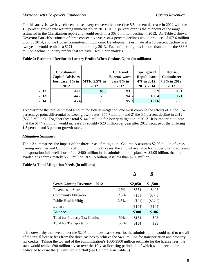For this analysis, we have chosen to use a very conservative one-time 5.5 percent decrease in 2012 with the 1.5 percent growth rate resuming immediately in 2013. A 5.5 percent drop is the midpoint of the range estimated in the Christiansen report and would result in a \$68.6 million decline in 2012. As Table 2 shows, Governor Patrick's estimate of three consecutive years of 4 percent declines would produce a \$157.6 million drop by 2014, and the House Committee on Economic Development's estimate of a 15 percent decline over two years would result in a \$171 million drop by 2013. Each of these figures is more than double the \$68.6 million decline in lottery profits that we have used in our analysis.

|      | <b>Christiansen</b><br><b>Capital Advisors</b><br>best case: $3\%$ in   MTF: $5.5\%$ in <br>2012 | 2012 | <b>CCA</b> and<br><b>Barrow worst</b><br>case 8% in<br>2012 | <b>Springfield</b><br><b>Republican:</b><br>4% in 2012,<br>2013, 2014 | House<br><b>Committee:</b><br>7.5% in 2012,<br>2013 |
|------|--------------------------------------------------------------------------------------------------|------|-------------------------------------------------------------|-----------------------------------------------------------------------|-----------------------------------------------------|
| 2012 | 44.1                                                                                             | 68.6 | 93.1                                                        | 53.9                                                                  | 88.1                                                |
| 2013 | 44.7                                                                                             | 69.6 | 94.5                                                        | 106.4                                                                 | 171                                                 |
| 2014 | 45.4                                                                                             | 70.6 | 95.9                                                        | 157.6                                                                 | 173.6                                               |

#### **Table 2: Estimated Decline in Lottery Profits When Casinos Open (in millions)**

To determine the total estimated amount for lottery mitigation, one must combine the effects of 1) the 1.5 percentage point differential between growth rates (\$75.7 million) and 2) the 5.5 percent decline in 2012 (\$68.6 million). Together these total \$144.2 million for lottery mitigation in 2012. It is important to note that the \$144.2 million would increase by roughly \$20 million per year after 2012 because of the differing 1.5 percent and 3 percent growth rates.

#### *Mitigation Summary*

Table 3 summarizes the impact of the three areas of mitigation. Column A assumes \$2.05 billion of gross gaming revenues and Column B \$1.5 billion. In both cases, the amount available for property tax credits and transportation falls well short of the \$400 million in the administration's plan. At \$2.05 billion, the total available is approximately \$300 million; at \$1.5 billion, it is less than \$200 million.

#### **Table 3: Total Mitigation Needs (in millions)**

|                                       |      | $\overline{\mathbf{A}}$ | <u>B</u>   |
|---------------------------------------|------|-------------------------|------------|
| <b>Gross Gaming Revenues - 2012</b>   |      | \$2,050                 | \$1,500    |
| Revenues to State                     | 27%  | \$554                   | \$405      |
| <b>Community Mitigation</b>           | 2.5% | $(\$51)$                | $(\$37.5)$ |
| <b>Public Health Mitigation</b>       | 2.5% | $(\$51)$                | (\$37.5)   |
| Lottery                               |      | (\$144)                 | (\$144)    |
| <b>Balance</b>                        |      | \$308                   | \$186      |
| <b>Total for Property Tax Credits</b> | 50%  | \$154                   | \$93       |
| <b>Total for Transportation</b>       | 50%  | \$154                   | \$93       |

It is noteworthy that even under the \$2.05 billion best case scenario, the administration would need to use all of the initial license fees from the three casinos to achieve the \$400 million for transportation and property tax credits. Taking the top end of the administration's \$600-\$900 million estimate for the license fees, the state would realize \$90 million a year over the 10-year licensing period, all of which would need to be dedicated to close the \$92 million shortfall (see Column A in Table 3).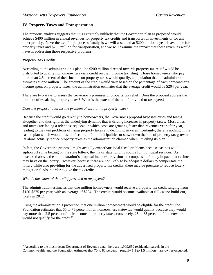## **IV. Property Taxes and Transportation**

The previous analysis suggests that it is extremely unlikely that the Governor's plan as proposed would achieve \$400 million in annual revenues for property tax credits and transportation investments or for any other priority. Nevertheless, for purposes of analysis we will assume that \$200 million a year is available for property taxes and \$200 million for transportation, and we will examine the impact that these revenues would have in addressing those respective problems.

## *Property Tax Credits*

According to the administration's plan, the \$200 million directed towards property tax relief would be distributed to qualifying homeowners via a credit on their income tax filing. Those homeowners who pay more than 2.5 percent of their income on property taxes would qualify, a population that the administration estimates at one million. The amount of the credit would vary based on the percentage of each homeowner's income spent on property taxes; the administration estimates that the average credit would be \$204 per year.

There are two ways to assess the Governor's promises of property tax relief: Does the proposal address the problem of escalating property taxes? What is the extent of the relief provided to taxpayers?

#### *Does the proposal address the problem of escalating property taxes?*

Because the credit would go directly to homeowners, the Governor's proposal bypasses cities and towns altogether and thus ignores the underlying dynamic that is driving increases in property taxes. Most cities and towns are facing a relentless squeeze in which costs are growing faster than revenues year after year, leading to the twin problems of rising property taxes and declining services. Certainly, there is nothing in the casino plan which would provide fiscal relief to municipalities or slow down the rate of property tax growth, let alone actually reduce property taxes as the administration claimed when unveiling its plan.

In fact, the Governor's proposal might actually exacerbate local fiscal problems because casinos would siphon off some betting on the state lottery, the major state funding source for municipal services. As discussed above, the administration's proposal includes provisions to compensate for any impact that casinos may have on the lottery. However, because there are not likely to be adequate dollars to compensate the lottery while also providing for the advertised property tax credits, there may be pressure to reduce lottery mitigation funds in order to give the tax credits.

#### *What is the extent of the relief provided to taxpayers?*

The administration estimates that one million homeowners would receive a property tax credit ranging from \$150-\$375 per year, with an average of \$204. The credits would become available at full casino build-out, likely in 2012.

Using the administration's projection that one million homeowners would be eligible for the credit, the Foundation estimates that 65 to 75 percent of all homeowners statewide would qualify because they would pay more than 2.5 percent of their income on property taxes; conversely, 25 to 35 percent of homeowners would not qualify for the credit. $9$ 

<sup>&</sup>lt;sup>9</sup> According to the most recent Department of Revenue data, there are 1,909,659 residential parcels in the Commonwealth, and the Foundation estimates that 70 to 80 percent – roughly 1.3 to 1.5 million – are owner-occupied.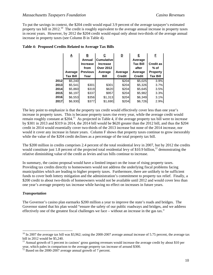To put the savings in context, the \$204 credit would equal 3.9 percent of the average taxpayer's estimated property tax bill in 2012.<sup>10</sup> The credit is roughly equivalent to the average annual increase in property taxes in recent years. However, by 2012 the \$204 credit would equal only about two-thirds of the average annual increase in property taxes (see Column B in Table 4).

|        | <u>Α</u><br>Average<br>Tax Bill | <u>в</u><br>Annual<br><b>Increase</b><br>from<br><b>Previous</b><br>Year | С<br><b>Cumulative</b><br><b>Increase</b><br><b>Over 2012</b><br>Average<br>Bill | <u>D</u><br>Average<br><b>Credit</b> | E.<br>Average<br><b>Tax Bill</b><br>after<br>Average<br><b>Credit</b> | E<br><b>Credit as</b><br>% of<br><b>Property</b><br><b>Tax Bill</b> |
|--------|---------------------------------|--------------------------------------------------------------------------|----------------------------------------------------------------------------------|--------------------------------------|-----------------------------------------------------------------------|---------------------------------------------------------------------|
| 2012l  | \$5,240                         |                                                                          |                                                                                  | \$204                                | \$5,025                                                               | 3.9%                                                                |
| 2013 l | \$5,541                         | \$301                                                                    | \$301                                                                            | \$204                                | \$5,326                                                               | 3.7%                                                                |
| 2014l  | \$5,860                         | \$319                                                                    | \$620                                                                            | \$204                                | \$5,645                                                               | 3.5%                                                                |
| 2015l  | \$6,197                         | \$337                                                                    | \$957                                                                            | \$204                                | \$5,982                                                               | 3.3%                                                                |
| 2016l  | \$6,553                         | \$356                                                                    | \$1,313                                                                          | \$204                                | \$6,349                                                               | 3.1%                                                                |
| 2017   | \$6,930                         | \$377                                                                    | \$1,690                                                                          | \$204                                | \$6,726                                                               | 2.9%                                                                |

#### **Table 4: Proposed Credits Related to Average Tax Bills**

The key point to emphasize is that the property tax credit would effectively cover less than one year's increase in property taxes. This is because property taxes rise every year, while the average credit would remain roughly constant at \$204.<sup>11</sup> As projected in Table 4, if the average property tax bill were to increase by \$301 in 2013 and \$319 in 2014, the 2014 bill would be \$620 greater than the 2012 bill, and thus the \$204 credit in 2014 would essentially cover two-thirds of the 2013 increase but none of the 2014 increase, nor would it cover any increase in future years. Column F shows that property taxes continue to grow inexorably while the value of the \$204 credit declines as a percentage of the total property tax bill.

The \$200 million in credits comprises 2.4 percent of the total residential levy in 2007, but by 2012 the credits would constitute just 1.8 percent of the projected total residential levy of \$10.9 billion,  $^{12}$  demonstrating the relative diminishing value of the credit as levies and tax bills continue to increase.

In summary, the casino proposal would have a limited impact on the issue of rising property taxes. Providing tax credits directly to homeowners would not address the underlying fiscal problems facing municipalities which are leading to higher property taxes. Furthermore, there are unlikely to be sufficient funds to cover both lottery mitigation and the administration's commitment to property tax relief. Finally, a \$200 credit to about two-thirds of homeowners would not be available until 2012 and would cover less than one year's average property tax increase while having no effect on increases in future years.

#### *Transportation*

The Governor's casino plan earmarks \$200 million a year to improve the state's roads and bridges. The Governor stated that his plan would "ensure the safety of our public roadways and bridges, and we address effectively one of the greatest fiscal challenges we face – without an increase in the gas tax."

 $^{10}$  In 2007 the average tax bill was \$3,962; using the 2000-2007 average annual increase of 5.75 percent, the average tax bill in 2012 would be \$5,240.<br><sup>11</sup> Annual growth of 5 percent in casinos' gross gaming revenues would increase the average credit by about \$10 per

year, which pales in comparison to the average property tax increase of around \$300.<br><sup>12</sup> Based on the 2000-2007 average annual growth of 7 percent.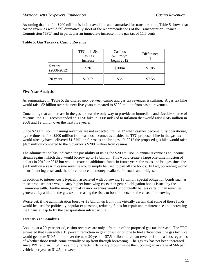Assuming that the full \$200 million is in fact available and earmarked for transportation, Table 5 shows that casino revenues would fall dramatically short of the recommendations of the Transportation Finance Commission (TFC) and in particular an immediate increase in the gas tax of 11.5 cents.

|                            | $TFC - 11.5\phi$<br>Gas Tax<br>Increase | Casinos<br>\$200m/yr.<br>begin $2012$ | <b>Difference</b>  |
|----------------------------|-----------------------------------------|---------------------------------------|--------------------|
| 5 years<br>$(2008 - 2012)$ | \$2b                                    | \$200 <sub>m</sub>                    | \$1.8 <sub>b</sub> |
| 20 years                   | \$10.5 <sub>b</sub>                     | \$3b                                  | \$7.5b             |

## **Table 5: Gas Taxes vs. Casino Revenue**

#### **Five-Year Analysis**

As summarized in Table 5, the discrepancy between casino and gas tax revenues is striking. A gas tax hike would raise \$2 billion over the next five years compared to \$200 million from casino revenues.

Concluding that an increase in the gas tax was the only way to provide an immediate and sizeable source of revenue, the TFC recommended an 11.5¢ hike in 2008 indexed to inflation that would raise \$345 million in 2008 and \$2 billion over the next five years.

Since \$200 million in gaming revenues are not expected until 2012 when casinos become fully operational, by the time the first \$200 million from casinos becomes available, the TFC proposed hike in the gas tax would already have delivered \$1.6 billion for roads and bridges. In 2012 the proposed gas hike would raise \$467 million compared to the Governor's \$200 million from casinos.

The administration has indicated the possibility of using the \$200 million in annual revenue as an income stream against which they would borrow up to \$3 billion. This would create a large one-time infusion of dollars in 2012 or 2013 but would create no additional funds in future years for roads and bridges since the \$200 million a year in casino revenue would simply be used to pay off the bonds. In fact, borrowing would incur financing costs and, therefore, reduce the money available for roads and bridges.

In addition to interest costs typically associated with borrowing \$3 billion, special obligation bonds such as those proposed here would carry higher borrowing costs than general obligation bonds issued by the Commonwealth. Furthermore, annual casino revenues would undoubtedly be less certain than revenues generated by a hike in the gas tax, increasing the risks to bondholders and the costs of borrowing.

Worse yet, if the administration borrows \$3 billion up front, it is virtually certain that some of those funds would be used for politically popular expansions, reducing funds for repair and maintenance and increasing the financial gap to fix the transportation infrastructure.

#### **Twenty-Year Analysis**

Looking at a 20-year period, casino revenues are only a fraction of the proposed gas tax increase. The TFC estimated that even with a 15 percent reduction in gas consumption due to fuel efficiencies, the gas tax hike would generate \$10.5 billion over the next 20 years – \$7.5 billion more than revenue from casinos regardless of whether those funds come annually or up front through borrowing. The gas tax has not been increased since 1991 and an 11.5¢ hike simply reflects inflationary growth since then, costing an average of \$66 per vehicle per year or \$1.25 per week.